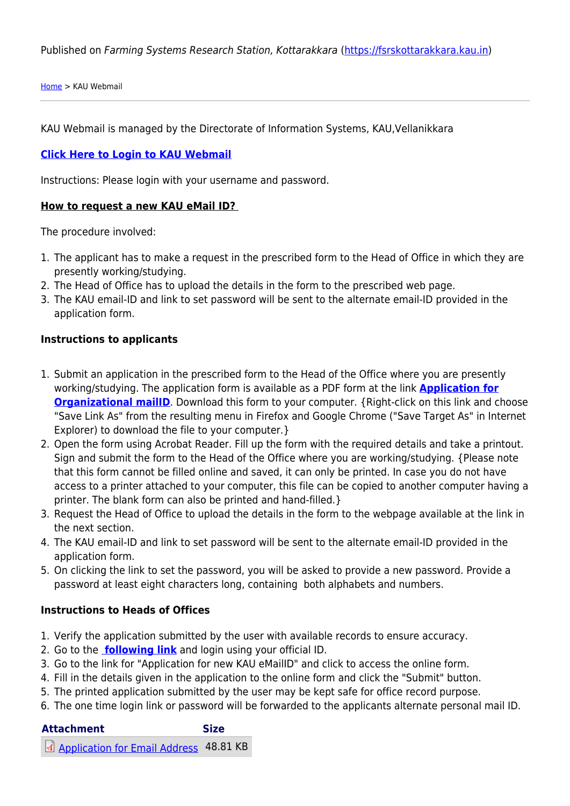Published on Farming Systems Research Station, Kottarakkara (<https://fsrskottarakkara.kau.in>)

[Home](https://fsrskottarakkara.kau.in/) > KAU Webmail

KAU Webmail is managed by the Directorate of Information Systems, KAU,Vellanikkara

#### **[Click Here to Login to KAU Webmail](http://www.gmail.com)**

Instructions: Please login with your username and password.

#### **How to request a new KAU eMail ID?**

The procedure involved:

- 1. The applicant has to make a request in the prescribed form to the Head of Office in which they are presently working/studying.
- 2. The Head of Office has to upload the details in the form to the prescribed web page.
- 3. The KAU email-ID and link to set password will be sent to the alternate email-ID provided in the application form.

#### **Instructions to applicants**

- 1. Submit an application in the prescribed form to the Head of the Office where you are presently working/studying. The application form is available as a PDF form at the link **[Application for](http://kau.in/sites/default/files/documents/applicationforemail.pdf) [Organizational mailID](http://kau.in/sites/default/files/documents/applicationforemail.pdf)**. Download this form to your computer. {Right-click on this link and choose "Save Link As" from the resulting menu in Firefox and Google Chrome ("Save Target As" in Internet Explorer) to download the file to your computer. }
- 2. Open the form using Acrobat Reader. Fill up the form with the required details and take a printout. Sign and submit the form to the Head of the Office where you are working/studying. {Please note that this form cannot be filled online and saved, it can only be printed. In case you do not have access to a printer attached to your computer, this file can be copied to another computer having a printer. The blank form can also be printed and hand-filled.}
- 3. Request the Head of Office to upload the details in the form to the webpage available at the link in the next section.
- 4. The KAU email-ID and link to set password will be sent to the alternate email-ID provided in the application form.
- 5. On clicking the link to set the password, you will be asked to provide a new password. Provide a password at least eight characters long, containing both alphabets and numbers.

#### **Instructions to Heads of Offices**

- 1. Verify the application submitted by the user with available records to ensure accuracy.
- 2. Go to the **[following link](https://docs.google.com/a/kau.in/document/d/1QInqRoCYDWVx6r9cw2s4XyvM2VZ3ZCW2HQZRX0qYwUU/edit)** and login using your official ID.
- 3. Go to the link for "Application for new KAU eMailID" and click to access the online form.
- 4. Fill in the details given in the application to the online form and click the "Submit" button.
- 5. The printed application submitted by the user may be kept safe for office record purpose.
- 6. The one time login link or password will be forwarded to the applicants alternate personal mail ID.

## **Attachment Size**

[Application for Email Address](https://fsrskottarakkara.kau.in/sites/default/files/documents/applicationforemail.pdf) 48.81 KB